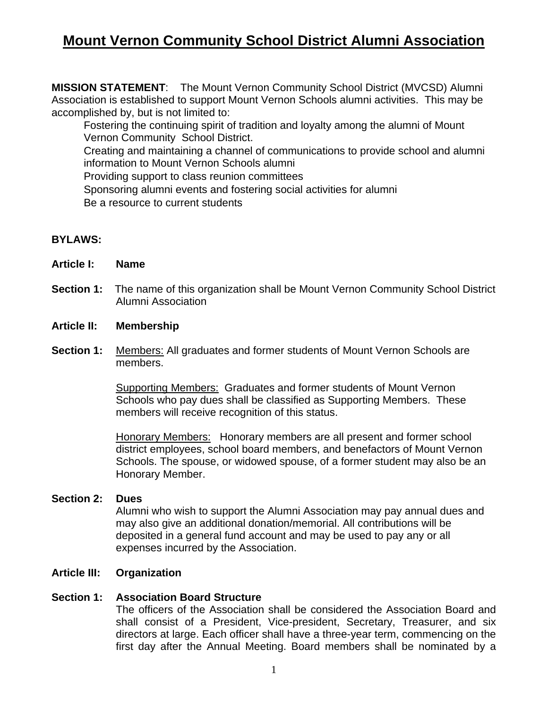# **Mount Vernon Community School District Alumni Association**

**MISSION STATEMENT**: The Mount Vernon Community School District (MVCSD) Alumni Association is established to support Mount Vernon Schools alumni activities. This may be accomplished by, but is not limited to:

 Fostering the continuing spirit of tradition and loyalty among the alumni of Mount Vernon Community School District.

 Creating and maintaining a channel of communications to provide school and alumni information to Mount Vernon Schools alumni

Providing support to class reunion committees

Sponsoring alumni events and fostering social activities for alumni

Be a resource to current students

# **BYLAWS:**

- **Article I: Name**
- **Section 1:** The name of this organization shall be Mount Vernon Community School District Alumni Association

#### **Article II: Membership**

**Section 1:** Members: All graduates and former students of Mount Vernon Schools are members.

> Supporting Members: Graduates and former students of Mount Vernon Schools who pay dues shall be classified as Supporting Members. These members will receive recognition of this status.

Honorary Members: Honorary members are all present and former school district employees, school board members, and benefactors of Mount Vernon Schools. The spouse, or widowed spouse, of a former student may also be an Honorary Member.

# **Section 2: Dues**

Alumni who wish to support the Alumni Association may pay annual dues and may also give an additional donation/memorial. All contributions will be deposited in a general fund account and may be used to pay any or all expenses incurred by the Association.

# **Article III: Organization**

#### **Section 1: Association Board Structure**

The officers of the Association shall be considered the Association Board and shall consist of a President, Vice-president, Secretary, Treasurer, and six directors at large. Each officer shall have a three-year term, commencing on the first day after the Annual Meeting. Board members shall be nominated by a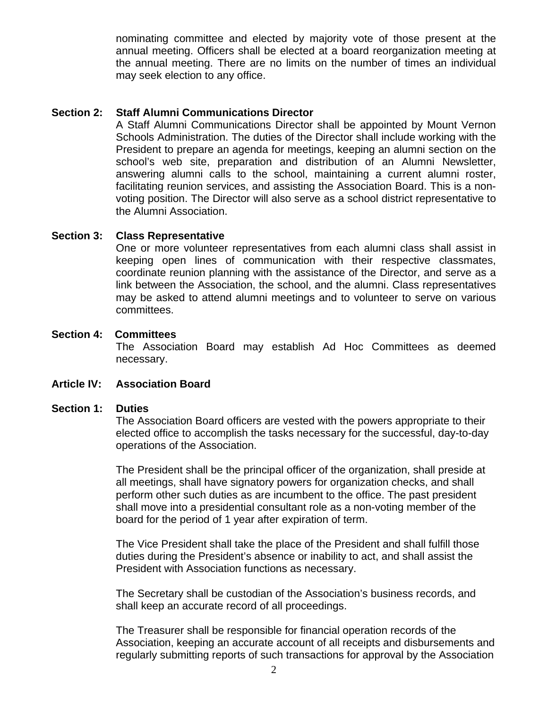nominating committee and elected by majority vote of those present at the annual meeting. Officers shall be elected at a board reorganization meeting at the annual meeting. There are no limits on the number of times an individual may seek election to any office.

## **Section 2: Staff Alumni Communications Director**

A Staff Alumni Communications Director shall be appointed by Mount Vernon Schools Administration. The duties of the Director shall include working with the President to prepare an agenda for meetings, keeping an alumni section on the school's web site, preparation and distribution of an Alumni Newsletter, answering alumni calls to the school, maintaining a current alumni roster, facilitating reunion services, and assisting the Association Board. This is a nonvoting position. The Director will also serve as a school district representative to the Alumni Association.

## **Section 3: Class Representative**

One or more volunteer representatives from each alumni class shall assist in keeping open lines of communication with their respective classmates, coordinate reunion planning with the assistance of the Director, and serve as a link between the Association, the school, and the alumni. Class representatives may be asked to attend alumni meetings and to volunteer to serve on various committees.

## **Section 4: Committees**

The Association Board may establish Ad Hoc Committees as deemed necessary.

# **Article IV: Association Board**

#### **Section 1: Duties**

The Association Board officers are vested with the powers appropriate to their elected office to accomplish the tasks necessary for the successful, day-to-day operations of the Association.

The President shall be the principal officer of the organization, shall preside at all meetings, shall have signatory powers for organization checks, and shall perform other such duties as are incumbent to the office. The past president shall move into a presidential consultant role as a non-voting member of the board for the period of 1 year after expiration of term.

The Vice President shall take the place of the President and shall fulfill those duties during the President's absence or inability to act, and shall assist the President with Association functions as necessary.

The Secretary shall be custodian of the Association's business records, and shall keep an accurate record of all proceedings.

The Treasurer shall be responsible for financial operation records of the Association, keeping an accurate account of all receipts and disbursements and regularly submitting reports of such transactions for approval by the Association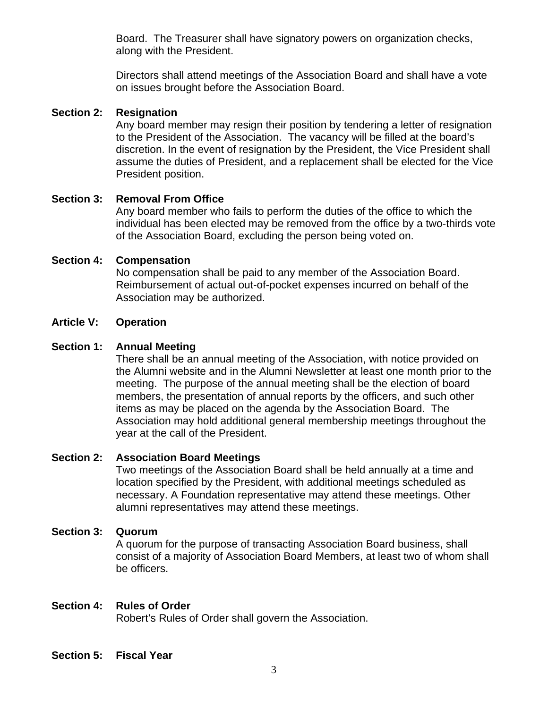Board. The Treasurer shall have signatory powers on organization checks, along with the President.

Directors shall attend meetings of the Association Board and shall have a vote on issues brought before the Association Board.

# **Section 2: Resignation**

Any board member may resign their position by tendering a letter of resignation to the President of the Association. The vacancy will be filled at the board's discretion. In the event of resignation by the President, the Vice President shall assume the duties of President, and a replacement shall be elected for the Vice President position.

## **Section 3: Removal From Office**

Any board member who fails to perform the duties of the office to which the individual has been elected may be removed from the office by a two-thirds vote of the Association Board, excluding the person being voted on.

## **Section 4: Compensation**

No compensation shall be paid to any member of the Association Board. Reimbursement of actual out-of-pocket expenses incurred on behalf of the Association may be authorized.

#### **Article V: Operation**

## **Section 1: Annual Meeting**

There shall be an annual meeting of the Association, with notice provided on the Alumni website and in the Alumni Newsletter at least one month prior to the meeting. The purpose of the annual meeting shall be the election of board members, the presentation of annual reports by the officers, and such other items as may be placed on the agenda by the Association Board. The Association may hold additional general membership meetings throughout the year at the call of the President.

## **Section 2: Association Board Meetings**

Two meetings of the Association Board shall be held annually at a time and location specified by the President, with additional meetings scheduled as necessary. A Foundation representative may attend these meetings. Other alumni representatives may attend these meetings.

#### **Section 3: Quorum**

A quorum for the purpose of transacting Association Board business, shall consist of a majority of Association Board Members, at least two of whom shall be officers.

#### **Section 4: Rules of Order**

Robert's Rules of Order shall govern the Association.

# **Section 5: Fiscal Year**